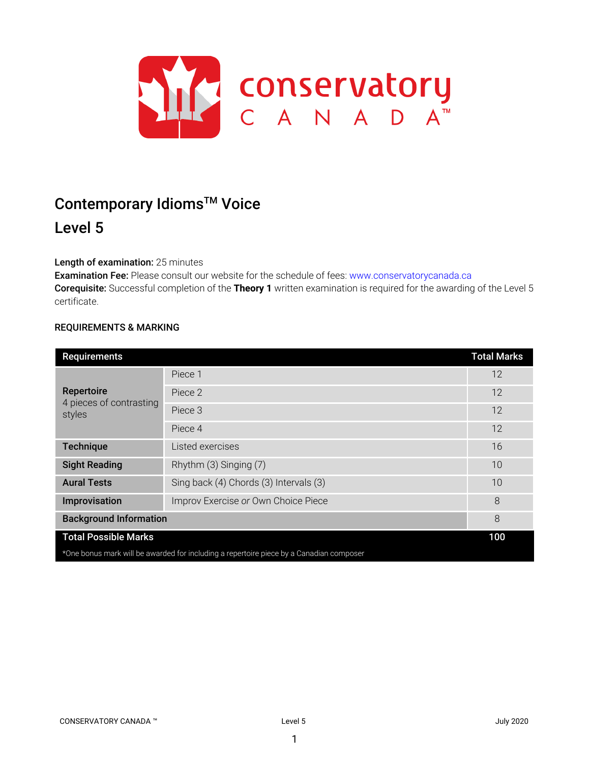

# Contemporary Idioms<sup>™</sup> Voice Level 5

# Length of examination: 25 minutes

Examination Fee: Please consult our website for the schedule of fees: www.conservatorycanada.ca Corequisite: Successful completion of the **Theory 1** written examination is required for the awarding of the Level 5 certificate.

## REQUIREMENTS & MARKING

| <b>Requirements</b>                                                                     |                                        | <b>Total Marks</b> |  |
|-----------------------------------------------------------------------------------------|----------------------------------------|--------------------|--|
| Repertoire<br>4 pieces of contrasting<br>styles                                         | Piece 1                                | 12                 |  |
|                                                                                         | Piece 2                                | 12                 |  |
|                                                                                         | Piece 3                                | 12                 |  |
|                                                                                         | Piece 4                                | 12                 |  |
| <b>Technique</b>                                                                        | Listed exercises                       | 16                 |  |
| <b>Sight Reading</b>                                                                    | Rhythm (3) Singing (7)                 | 10                 |  |
| <b>Aural Tests</b>                                                                      | Sing back (4) Chords (3) Intervals (3) | 10                 |  |
| Improvisation                                                                           | Improv Exercise or Own Choice Piece    | 8                  |  |
| <b>Background Information</b>                                                           |                                        | 8                  |  |
| <b>Total Possible Marks</b>                                                             |                                        |                    |  |
| *One bonus mark will be awarded for including a repertoire piece by a Canadian composer |                                        |                    |  |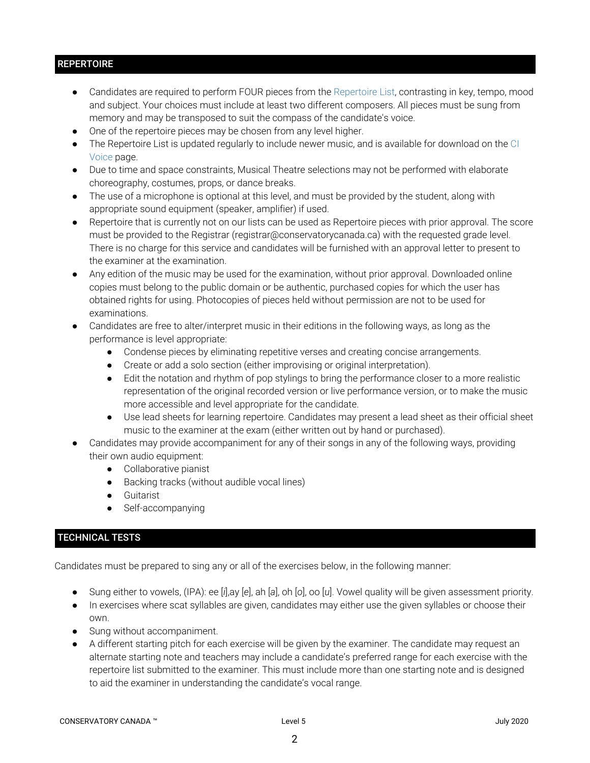# **REPERTOIRE**

- Candidates are required to perform FOUR pieces from the Repertoire List, contrasting in key, tempo, mood and subject. Your choices must include at least two different composers. All pieces must be sung from memory and may be transposed to suit the compass of the candidate's voice.
- One of the repertoire pieces may be chosen from any level higher.
- The Repertoire List is updated regularly to include newer music, and is available for download on the CI Voice page.
- Due to time and space constraints, Musical Theatre selections may not be performed with elaborate choreography, costumes, props, or dance breaks.
- The use of a microphone is optional at this level, and must be provided by the student, along with appropriate sound equipment (speaker, amplifier) if used.
- Repertoire that is currently not on our lists can be used as Repertoire pieces with prior approval. The score must be provided to the Registrar (registrar@conservatorycanada.ca) with the requested grade level. There is no charge for this service and candidates will be furnished with an approval letter to present to the examiner at the examination.
- Any edition of the music may be used for the examination, without prior approval. Downloaded online copies must belong to the public domain or be authentic, purchased copies for which the user has obtained rights for using. Photocopies of pieces held without permission are not to be used for examinations.
- Candidates are free to alter/interpret music in their editions in the following ways, as long as the performance is level appropriate:
	- Condense pieces by eliminating repetitive verses and creating concise arrangements.
	- Create or add a solo section (either improvising or original interpretation).
	- Edit the notation and rhythm of pop stylings to bring the performance closer to a more realistic representation of the original recorded version or live performance version, or to make the music more accessible and level appropriate for the candidate.
	- Use lead sheets for learning repertoire. Candidates may present a lead sheet as their official sheet music to the examiner at the exam (either written out by hand or purchased).
- Candidates may provide accompaniment for any of their songs in any of the following ways, providing their own audio equipment:
	- Collaborative pianist
	- Backing tracks (without audible vocal lines)
	- Guitarist
	- Self-accompanying

# TECHNICAL TESTS

Candidates must be prepared to sing any or all of the exercises below, in the following manner:

- Sung either to vowels, (IPA): ee [*i*],ay [*e*], ah [*a*], oh [*o*], oo [*u*]. Vowel quality will be given assessment priority.
- In exercises where scat syllables are given, candidates may either use the given syllables or choose their own.
- Sung without accompaniment.
- A different starting pitch for each exercise will be given by the examiner. The candidate may request an alternate starting note and teachers may include a candidate's preferred range for each exercise with the repertoire list submitted to the examiner. This must include more than one starting note and is designed to aid the examiner in understanding the candidate's vocal range.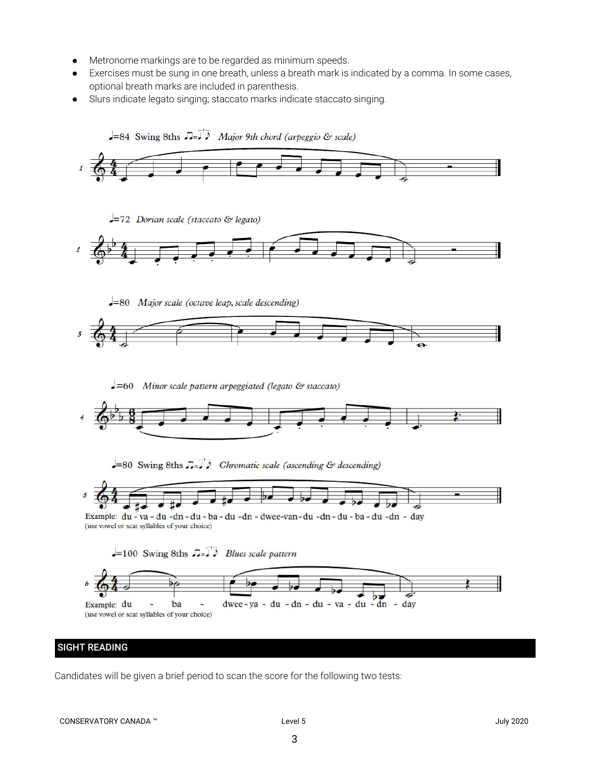- Metronome markings are to be regarded as minimum speeds.
- Exercises must be sung in one breath, unless a breath mark is indicated by a comma. In some cases, optional breath marks are included in parenthesis.
- Slurs indicate legato singing; staccato marks indicate staccato singing.



# SIGHT READING

Candidates will be given a brief period to scan the score for the following two tests: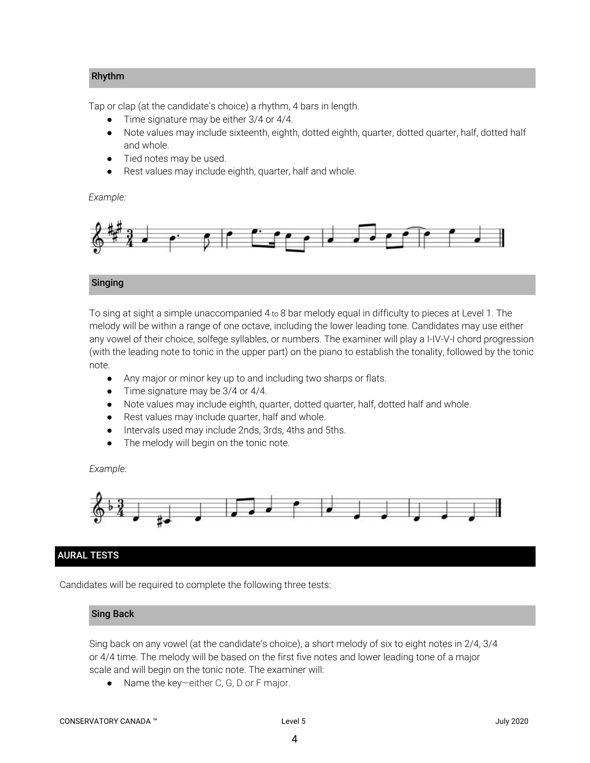## Rhythm

Tap or clap (at the candidate's choice) a rhythm, 4 bars in length.

- Time signature may be either 3/4 or 4/4.
- Note values may include sixteenth, eighth, dotted eighth, quarter, dotted quarter, half, dotted half and whole.
- Tied notes may be used.
- Rest values may include eighth, quarter, half and whole.

*Example:*



## Singing

To sing at sight a simple unaccompanied 4 to 8 bar melody equal in difficulty to pieces at Level 1. The melody will be within a range of one octave, including the lower leading tone. Candidates may use either any vowel of their choice, solfege syllables, or numbers. The examiner will play a I-IV-V-I chord progression (with the leading note to tonic in the upper part) on the piano to establish the tonality, followed by the tonic note.

- *●* Any major or minor key up to and including two sharps or flats.
- Time signature may be 3/4 or 4/4.
- Note values may include eighth, quarter, dotted quarter, half, dotted half and whole.
- Rest values may include quarter, half and whole.
- Intervals used may include 2nds, 3rds, 4ths and 5ths.
- The melody will begin on the tonic note.

#### *Example:*



# AURAL TESTS

Candidates will be required to complete the following three tests:

#### Sing Back

Sing back on any vowel (at the candidate's choice), a short melody of six to eight notes in 2/4, 3/4 or 4/4 time. The melody will be based on the first five notes and lower leading tone of a major scale and will begin on the tonic note. The examiner will:

● Name the key—either C, G, D or F major.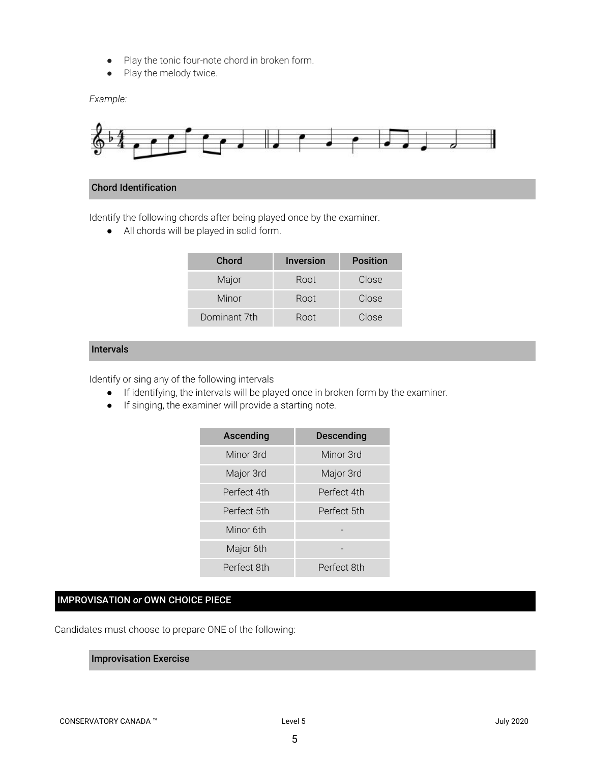- Play the tonic four-note chord in broken form.
- Play the melody twice.

*Example:*



#### Chord Identification

Identify the following chords after being played once by the examiner.

● All chords will be played in solid form.

| Chord        | <b>Inversion</b> | <b>Position</b> |
|--------------|------------------|-----------------|
| Major        | Root             | Close           |
| Minor        | Root             | Close           |
| Dominant 7th | Root             | Close           |

#### Intervals

Identify or sing any of the following intervals

- If identifying, the intervals will be played once in broken form by the examiner.
- If singing, the examiner will provide a starting note.

| Ascending   | <b>Descending</b> |
|-------------|-------------------|
| Minor 3rd   | Minor 3rd         |
| Major 3rd   | Major 3rd         |
| Perfect 4th | Perfect 4th       |
| Perfect 5th | Perfect 5th       |
| Minor 6th   |                   |
| Major 6th   |                   |
| Perfect 8th | Perfect 8th       |

# IMPROVISATION *or* OWN CHOICE PIECE

Candidates must choose to prepare ONE of the following:

#### Improvisation Exercise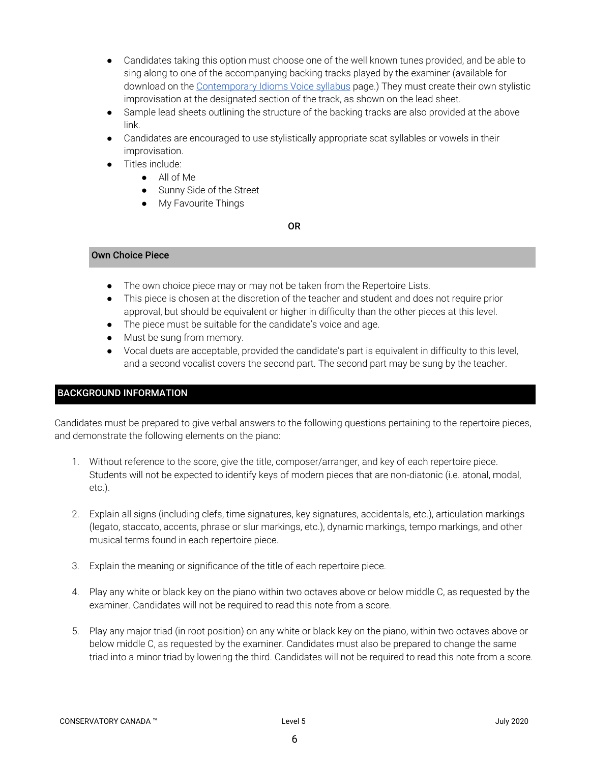- Candidates taking this option must choose one of the well known tunes provided, and be able to sing along to one of the accompanying backing tracks played by the examiner (available for download on the [Contemporary](https://conservatorycanada.ca/syllabi/contemporary-voice/) Idioms Voice syllabus page.) They must create their own stylistic improvisation at the designated section of the track, as shown on the lead sheet.
- Sample lead sheets outlining the structure of the backing tracks are also provided at the above link.
- Candidates are encouraged to use stylistically appropriate scat syllables or vowels in their improvisation.
- Titles include:
	- All of Me
	- Sunny Side of the Street
	- My Favourite Things

OR

#### Own Choice Piece

- The own choice piece may or may not be taken from the Repertoire Lists.
- This piece is chosen at the discretion of the teacher and student and does not require prior approval, but should be equivalent or higher in difficulty than the other pieces at this level.
- The piece must be suitable for the candidate's voice and age.
- Must be sung from memory.
- Vocal duets are acceptable, provided the candidate's part is equivalent in difficulty to this level, and a second vocalist covers the second part. The second part may be sung by the teacher.

# BACKGROUND INFORMATION

Candidates must be prepared to give verbal answers to the following questions pertaining to the repertoire pieces, and demonstrate the following elements on the piano:

- 1. Without reference to the score, give the title, composer/arranger, and key of each repertoire piece. Students will not be expected to identify keys of modern pieces that are non-diatonic (i.e. atonal, modal, etc.).
- 2. Explain all signs (including clefs, time signatures, key signatures, accidentals, etc.), articulation markings (legato, staccato, accents, phrase or slur markings, etc.), dynamic markings, tempo markings, and other musical terms found in each repertoire piece.
- 3. Explain the meaning or significance of the title of each repertoire piece.
- 4. Play any white or black key on the piano within two octaves above or below middle C, as requested by the examiner. Candidates will not be required to read this note from a score.
- 5. Play any major triad (in root position) on any white or black key on the piano, within two octaves above or below middle C, as requested by the examiner. Candidates must also be prepared to change the same triad into a minor triad by lowering the third. Candidates will not be required to read this note from a score.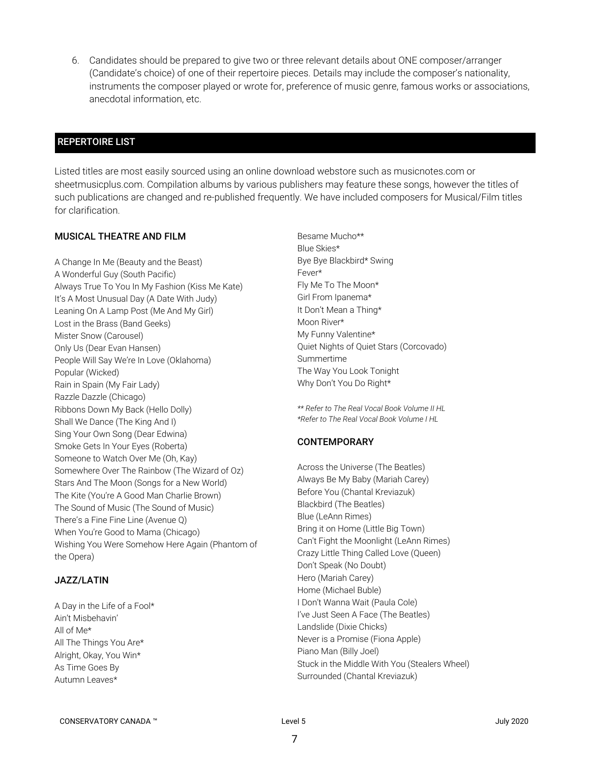6. Candidates should be prepared to give two or three relevant details about ONE composer/arranger (Candidate's choice) of one of their repertoire pieces. Details may include the composer's nationality, instruments the composer played or wrote for, preference of music genre, famous works or associations, anecdotal information, etc.

# REPERTOIRE LIST

Listed titles are most easily sourced using an online download webstore such as musicnotes.com or sheetmusicplus.com. Compilation albums by various publishers may feature these songs, however the titles of such publications are changed and re-published frequently. We have included composers for Musical/Film titles for clarification.

## MUSICAL THEATRE AND FILM

A Change In Me (Beauty and the Beast) A Wonderful Guy (South Pacific) Always True To You In My Fashion (Kiss Me Kate) It's A Most Unusual Day (A Date With Judy) Leaning On A Lamp Post (Me And My Girl) Lost in the Brass (Band Geeks) Mister Snow (Carousel) Only Us (Dear Evan Hansen) People Will Say We're In Love (Oklahoma) Popular (Wicked) Rain in Spain (My Fair Lady) Razzle Dazzle (Chicago) Ribbons Down My Back (Hello Dolly) Shall We Dance (The King And I) Sing Your Own Song (Dear Edwina) Smoke Gets In Your Eyes (Roberta) Someone to Watch Over Me (Oh, Kay) Somewhere Over The Rainbow (The Wizard of Oz) Stars And The Moon (Songs for a New World) The Kite (You're A Good Man Charlie Brown) The Sound of Music (The Sound of Music) There's a Fine Fine Line (Avenue Q) When You're Good to Mama (Chicago) Wishing You Were Somehow Here Again (Phantom of the Opera)

## JAZZ/LATIN

A Day in the Life of a Fool\* Ain't Misbehavin' All of Me\* All The Things You Are\* Alright, Okay, You Win\* As Time Goes By Autumn Leaves\*

Besame Mucho\*\* Blue Skies\* Bye Bye Blackbird\* Swing Fever\* Fly Me To The Moon\* Girl From Ipanema\* It Don't Mean a Thing\* Moon River\* My Funny Valentine\* Quiet Nights of Quiet Stars (Corcovado) Summertime The Way You Look Tonight Why Don't You Do Right\*

*\*\* Refer to The Real Vocal Book Volume II HL \*Refer to The Real Vocal Book Volume I HL*

## **CONTEMPORARY**

Across the Universe (The Beatles) Always Be My Baby (Mariah Carey) Before You (Chantal Kreviazuk) Blackbird (The Beatles) Blue (LeAnn Rimes) Bring it on Home (Little Big Town) Can't Fight the Moonlight (LeAnn Rimes) Crazy Little Thing Called Love (Queen) Don't Speak (No Doubt) Hero (Mariah Carey) Home (Michael Buble) I Don't Wanna Wait (Paula Cole) I've Just Seen A Face (The Beatles) Landslide (Dixie Chicks) Never is a Promise (Fiona Apple) Piano Man (Billy Joel) Stuck in the Middle With You (Stealers Wheel) Surrounded (Chantal Kreviazuk)